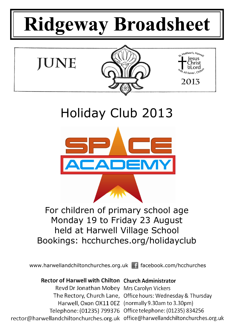# **Ridgeway Broadsheet**



Holiday Club 2013



For children of primary school age Monday 19 to Friday 23 August held at Harwell Village School Bookings: hcchurches.org/holidayclub

www.harwellandchiltonchurches.org.uk facebook.com/hcchurches

# Rector of Harwell with Chilton Church Administrator

Revd Dr Jonathan Mobey Mrs Carolyn Vickers The Rectory, Church Lane, Office hours: Wednesday & Thursday Harwell, Oxon OX11 0EZ (normally 9.30am to 3.30pm) Telephone: (01235) 799376 Office telephone: (01235) 834256 rector@harwellandchiltonchurches.org.uk office@harwellandchiltonchurches.org.uk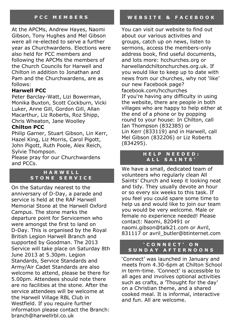At the APCMs, Andrew Hayes, Naomi Gibson, Tony Hughes and Mel Gibson were all re-elected to serve a further year as Churchwardens. Elections were also held for PCC members and following the APCMs the members of the Church Councils for Harwell and Chilton in addition to Jonathan and Pam and the Churchwardens, are as follows:

# **Harwell PCC**

Peter Barclay-Watt, Lizi Bowerman, Monika Buxton, Scott Cockburn, Vicki Luker, Anne Gill, Gordon Gill, Allan Macarthur, Liz Roberts, Roz Shipp, Chris Wheaton, Jane Woolley

## **Chilton PCC**

Philip Garner, Stuart Gibson, Lin Kerr, Hazel King, Liz Morris, Carol Pigott, John Pigott, Ruth Poole, Alex Reich, Sylvie Thompson.

Please pray for our Churchwardens and PCCs.

#### **H A R W E L L S T O N E S E R V I C E**

On the Saturday nearest to the anniversary of D-Day, a parade and service is held at the RAF Harwell Memorial Stone at the Harwell Oxford Campus. The stone marks the departure point for Servicemen who were amongst the first to land on D-Day. This is organised by the Royal British Legion Harwell Branch and supported by Goodman. The 2013 Service will take place on Saturday 8th June 2013 at 5.30pm. Legion Standards, Service Standards and Army/Air Cadet Standards are also welcome to attend, please be there for 5.00pm. Attendees should note there are no facilities at the stone. After the service attendees will be welcome at the Harwell Village RBL Club in Westfield. If you require further information please contact the Branch: branch@harwellrbl.co.uk

You can visit our website to find out about our various activities and groups, catch up on news, listen to sermons, access the members-only address book, find useful documents, and lots more: hcchurches.org or harwellandchiltonchurches.org.uk. If you would like to keep up to date with news from our churches, why not 'like' our new Facebook page? facebook.com/hcchurches If you're having any difficulty in using the website, there are people in both villages who are happy to help either at the end of a phone or by popping round to your house: In Chilton, call Ian Thompson (832385) or Lin Kerr (833119) and in Harwell, call Mel Gibson (832206) or Liz Roberts (834295).

## **H E L P N E E D E D : A L L S A I N T S '**

We have a small, dedicated team of volunteers who regularly clean All Saints' Church and keep it looking neat and tidy. They usually devote an hour or so every six weeks to this task. If you feel you could spare some time to help us and would like to join our team you would be very welcome. Male or female no experience needed! Please contact: Naomi, 820491 or naomi.gibson@talk21.com or Avril, 831117 or avril\_butler@btinternet.com

# **' C O N N E C T ' O N S U N D A Y A F T E R N O O N S**

'Connect' was launched in January and meets from 4.30-6pm at Chilton School in term-time. 'Connect' is accessible to all ages and involves optional activities such as crafts, a 'Thought for the day' on a Christian theme, and a shared cooked meal. It is informal, interactive and fun. All are welcome.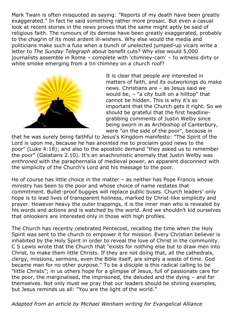Mark Twain is often misquoted as saying: "Reports of my death have been greatly exaggerated." In fact he said something rather more prosaic. But even a casual look at recent stories in the news proves that the same might aptly be said of religious faith. The rumours of its demise have been greatly exaggerated, probably to the chagrin of its most ardent ill-wishers. Why else would the media and politicians make such a fuss when a bunch of unelected jumped-up vicars write a letter to *The Sunday Telegraph* about benefit cuts? Why else would 5,000 journalists assemble in Rome – complete with 'chimney-cam' – to witness dirty or white smoke emerging from a tin chimney on a church roof?



It is clear that people *are* interested in matters of faith, and its outworkings do make news. Christians are – as Jesus said we would be, – "a city built on a hilltop" that cannot be hidden. This is why it's so important that the Church gets it right. So we should be grateful that the first headlinegrabbing comments of Justin Welby since being sworn in as Archbishop of Canterbury, were "on the side of the poor", because in

that he was surely being faithful to Jesus's Kingdom manifesto: "The Spirit of the Lord is upon me, because he has anointed me to proclaim good news to the poor" (Luke 4:18); and also to the apostolic demand "they asked us to remember the poor" (Galatians 2.10). It's an anachronistic anomaly that Justin Welby was *enthroned* with the paraphernalia of medieval power, an apparent disconnect with the simplicity of the Church's Lord and his message to the poor.

He of course has little choice in the matter – as neither has Pope Francis whose ministry has been to the poor and whose choice of name restates that commitment. Bullet-proof buggies will replace public buses. Church leaders' only hope is to lead lives of transparent holiness, marked by Christ-like simplicity and prayer. However heavy the outer trappings, it is the inner man who is revealed by his words and actions and is watched by the world. And we shouldn't kid ourselves that onlookers are interested only in those with high profiles.

The Church has recently celebrated Pentecost, recalling the time when the Holy Spirit was sent to the church to empower it for mission. Every Christian believer is inhabited by the Holy Spirit in order to reveal the love of Christ in the community. C S Lewis wrote that the Church that "exists for nothing else but to draw men into Christ, to make them little Christs. If they are not doing that, all the cathedrals, clergy, missions, sermons, even the Bible itself, are simply a waste of time. God became man for no other purpose." To be a disciple is this radical calling to be "little Christs"; in us others hope for a glimpse of Jesus, full of passionate care for the poor, the marginalised, the imprisoned, the deluded and the dying – and for themselves. Not only must we pray that our leaders should be shining examples, but Jesus reminds us all: "You are the light of the world."

*Adapted from an article by Michael Wenham writing for Evangelical Alliance*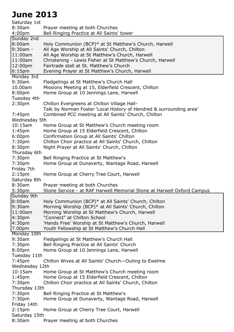# **June 2013**

Saturday 1st 8:30am Prayer meeting at both Churches 4:00pm Bell Ringing Practice at All Saints' tower Sunday 2nd 8:00am Holy Communion (BCP)\* at St Matthew's Church, Harwell 9:30am - All Age Worship at All Saints' Church, Chilton 11:00am All Age Worship at St Matthew's Church, Harwell 11:00am Christening - Lewis Fisher at St Matthew's Church, Harwell 12:00pm Fairtrade stall at St. Matthew's Church 6:15pm Evening Prayer at St Matthew's Church, Harwell Monday 3rd 9:30am Fledgelings at St Matthew's Church Hall 10.00am Missions Meeting at 15, Elderfield Crescent, Chilton 8:00pm Home Group at 10 Jennings Lane, Harwell Tuesday 4th 2:30pm Chilton Evergreens at Chilton Village Hall-Talk by Norman Foster 'Local History of Hendred & surrounding area' 7:45pm Combined PCC meeting at All Saints' Church, Chilton Wednesday 5th 10:15am Home Group at St Matthew's Church meeting room 1:45pm Home Group at 15 Elderfield Crescent, Chilton 6:00pm Confirmation Group at All Saints' Chilton 7:30pm Chilton Choir practice at All Saints' Church, Chilton 8:30pm Night Prayer at All Saints' Church, Chilton Thursday 6th 7:30pm Bell Ringing Practice at St Matthew's 7:30pm Home Group at Dunaverty, Wantage Road, Harwell Friday 7th 2:15pm Home Group at Cherry Tree Court, Harwell Saturday 8th 8:30am Prayer meeting at both Churches 5:30pm Stone Service - at RAF Harwell Memorial Stone at Harwell Oxford Campus Sunday 9th 8:00am Holy Communion (BCP)\* at All Saints' Church, Chilton 9:30am Morning Worship (BCP)\* at All Saints' Church, Chilton 11:00am Morning Worship at St Matthew's Church, Harwell 4:30pm "Connect" at Chilton School 4:30pm 'Hands Free' Worship at St Matthew's Church, Harwell 7.00pm Youth Fellowship at St Matthew's Church Hall Monday 10th 9:30am Fledgelings at St Matthew's Church Hall 7:30pm Bell Ringing Practice at All Saints' Church 8:00pm Home Group at 10 Jennings Lane, Harwell Tuesday 11th 7:45pm Chilton Wives at All Saints' Church—Outing to Ewelme Wednesday 12th 10:15am Home Group at St Matthew's Church meeting room 1:45pm Home Group at 15 Elderfield Crescent, Chilton 7:30pm Chilton Choir practice at All Saints' Church, Chilton Thursday 13th 7:30pm Bell Ringing Practice at St Matthew's 7:30pm Home Group at Dunaverty, Wantage Road, Harwell Friday 14th 2:15pm Home Group at Cherry Tree Court, Harwell Saturday 15th 8:30am Prayer meeting at both Churches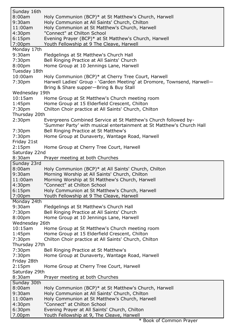| Sunday 16th<br>8:00am        | Holy Communion (BCP)* at St Matthew's Church, Harwell                        |
|------------------------------|------------------------------------------------------------------------------|
| $9:30$ am                    | Holy Communion at All Saints' Church, Chilton                                |
| 11:00am                      | Holy Communion at St Matthew's Church, Harwell                               |
| 4:30 <sub>pm</sub>           | "Connect" at Chilton School                                                  |
| 6:15 <sub>pm</sub>           | Evening Prayer (BCP)* at St Matthew's Church, Harwell                        |
| 7:00 <sub>pm</sub>           | Youth Fellowship at 9 The Cleave, Harwell                                    |
| Monday 17th                  |                                                                              |
| 9:30am                       | Fledgelings at St Matthew's Church Hall                                      |
| 7:30 <sub>pm</sub>           | Bell Ringing Practice at All Saints' Church                                  |
| 8:00 <sub>pm</sub>           | Home Group at 10 Jennings Lane, Harwell                                      |
| Tuesday 18th                 |                                                                              |
| 10:00am                      | Holy Communion (BCP)* at Cherry Tree Court, Harwell                          |
| 7:30pm                       | Harwell Ladies' Group - 'Garden Meeting' at Dromore, Townsend, Harwell-      |
|                              | Bring & Share supper-Bring & Buy Stall                                       |
| Wednesday 19th               |                                                                              |
| $10:15$ am                   | Home Group at St Matthew's Church meeting room                               |
| 1:45 <sub>pm</sub>           | Home Group at 15 Elderfield Crescent, Chilton                                |
| 7:30 <sub>pm</sub>           | Chilton Choir practice at All Saints' Church, Chilton                        |
| Thursday 20th                |                                                                              |
| 2:30 <sub>pm</sub>           | Evergreens Combined Service at St Matthew's Church followed by-              |
|                              | 'Summer Party' with musical entertainment at St Matthew's Church Hall        |
| 7:30 <sub>pm</sub>           | Bell Ringing Practice at St Matthew's                                        |
| 7:30 <sub>pm</sub>           | Home Group at Dunaverty, Wantage Road, Harwell                               |
| Friday 21st                  |                                                                              |
| 2:15 <sub>pm</sub>           | Home Group at Cherry Tree Court, Harwell                                     |
| Saturday 22nd                |                                                                              |
| 8:30am                       | Prayer meeting at both Churches                                              |
| Sunday 23rd                  |                                                                              |
| 8:00am                       | Holy Communion (BCP)* at All Saints' Church, Chilton                         |
| 9:30am                       |                                                                              |
|                              | Morning Worship at All Saints' Church, Chilton                               |
| 11:00am                      | Morning Worship at St Matthew's Church, Harwell                              |
| 4:30pm                       | "Connect" at Chilton School                                                  |
| 6:15 <sub>pm</sub>           | Holy Communion at St Matthew's Church, Harwell                               |
| 7:00 <sub>pm</sub>           | Youth Fellowship at 9 The Cleave, Harwell                                    |
| Monday 24th                  |                                                                              |
| 9:30am                       | Fledgelings at St Matthew's Church Hall                                      |
| 7:30pm                       | Bell Ringing Practice at All Saints' Church                                  |
| 8:00 <sub>pm</sub>           | Home Group at 10 Jennings Lane, Harwell                                      |
| Wednesday 26th               |                                                                              |
| $10:15$ am                   | Home Group at St Matthew's Church meeting room                               |
| 1:45pm                       | Home Group at 15 Elderfield Crescent, Chilton                                |
| 7:30pm                       | Chilton Choir practice at All Saints' Church, Chilton                        |
| Thursday 27th                |                                                                              |
| 7:30pm                       | Bell Ringing Practice at St Matthew's                                        |
| 7:30pm                       | Home Group at Dunaverty, Wantage Road, Harwell                               |
| Friday 28th                  |                                                                              |
| 2:15 <sub>pm</sub>           | Home Group at Cherry Tree Court, Harwell                                     |
| Saturday 29th                |                                                                              |
| 8:30am                       | Prayer meeting at both Churches                                              |
| Sunday 30th                  |                                                                              |
| 8:00am<br>9:30am             | Holy Communion (BCP)* at St Matthew's Church, Harwell                        |
|                              | Holy Communion at All Saints' Church, Chilton                                |
| 11:00am                      | Holy Communion at St Matthew's Church, Harwell                               |
| 4:30pm<br>6:30 <sub>pm</sub> | "Connect" at Chilton School<br>Evening Prayer at All Saints' Church, Chilton |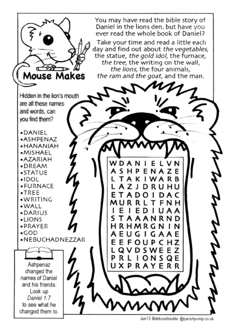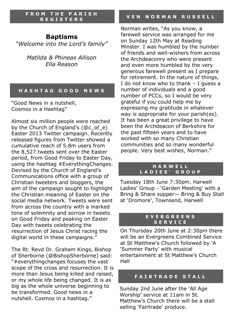**F R O M T H E P A R I S H R E G I S T E R S**

# **Baptisms**

*"Welcome into the Lord's family"*

*Matilda & Phineas Allison Ella Reason*

#### **H A S H T A G G O O D N E W S**

"Good News in a nutshell, Cosmos in a Hashtag"

Almost six million people were reached by the Church of England's (@c\_of\_e) Easter 2013 Twitter campaign. Recently released figures from Twitter showed a cumulative reach of 5.8m users from the 8,527 tweets sent over the Easter period, from Good Friday to Easter Day, using the hashtag #EverythingChanges. Devised by the Church of England's Communications office with a group of Christian tweeters and bloggers, the aim of the campaign sought to highlight the Christian meaning of Easter on the social media network. Tweets were sent from across the country with a marked tone of solemnity and sorrow in tweets on Good Friday and peaking on Easter Day with tweets celebrating the resurrection of Jesus Christ racing the digital world in these campaigns."

The Rt. Revd Dr. Graham Kings, Bishop of Sherborne (@BishopSherborne) said: "#everythingchanges focuses the vast scope of the cross and resurrection. It is more than Jesus being killed and raised, or my whole life being changed. It is as big as the whole universe beginning to be transformed. Good news in a nutshell. Cosmos in a hashtag."

#### **V E N N O R M A N R U S S E L L**

Norman writes, "As you know, a farewell service was arranged for me on Sunday 12th May at Reading Minster. I was humbled by the number of friends and well-wishers from across the Archdeaconry who were present and even more humbled by the very generous farewell present as I prepare for retirement. In the nature of things, I do not know who to thank – I guess a number of individuals and a good number of PCCs, so I would be very grateful if you could help me by expressing my gratitude in whatever way is appropriate for your parish(es). It has been a great privilege to have been the Archdeacon of Berkshire for the past fifteen years and to have worked with so many Christian communities and so many wonderful people. Very best wishes, Norman."

#### **H A R W E L L L A D I E S ' G R O U P**

Tuesday 18th June 7:30pm. Harwell Ladies' Group - 'Garden Meeting' with a Bring & Share supper— Bring & Buy Stall at 'Dromore', Townsend, Harwell

#### **E V E R G R E E N S S E R V I C E**

On Thursday 20th June at 2:30pm there will be an Evergreens Combined Service at St Matthew's Church followed by 'A 'Summer Party' with musical entertainment at St Matthew's Church Hall

#### **F A I R T R A D E S T A L L**

Sunday 2nd June after the 'All Age Worship' service at 11am in St. Matthew's Church there will be a stall selling 'Fairtrade' produce.